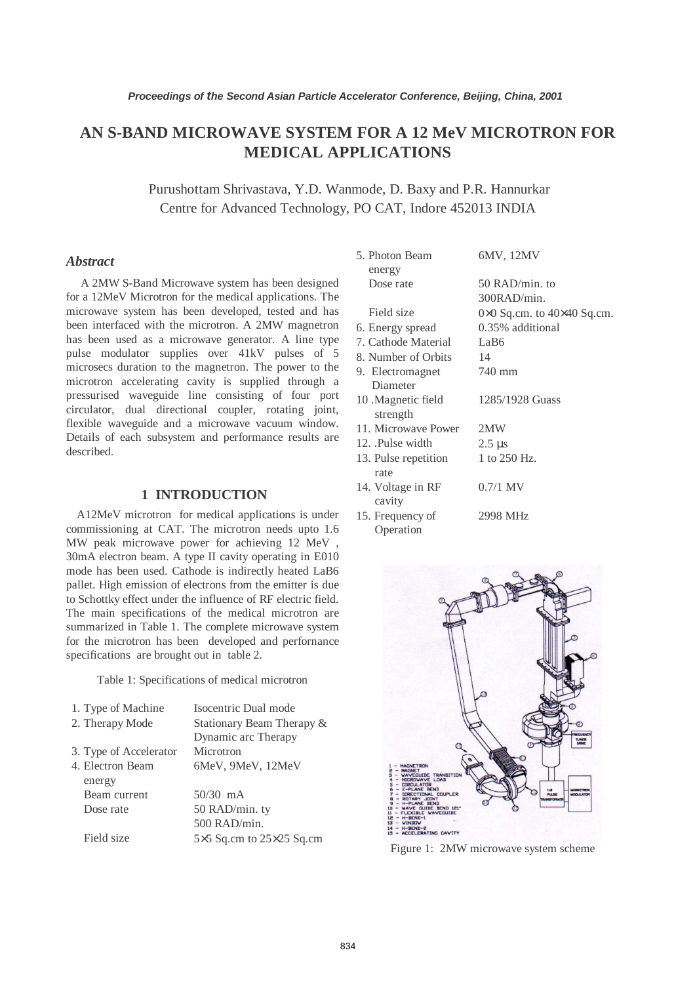# **AN S-BAND MICROWAVE SYSTEM FOR A 12 MeV MICROTRON FOR MEDICAL APPLICATIONS**

 Purushottam Shrivastava, Y.D. Wanmode, D. Baxy and P.R. Hannurkar Centre for Advanced Technology, PO CAT, Indore 452013 INDIA

#### *Abstract*

 A 2MW S-Band Microwave system has been designed for a 12MeV Microtron for the medical applications. The microwave system has been developed, tested and has been interfaced with the microtron. A 2MW magnetron has been used as a microwave generator. A line type pulse modulator supplies over 41kV pulses of 5 microsecs duration to the magnetron. The power to the microtron accelerating cavity is supplied through a pressurised waveguide line consisting of four port circulator, dual directional coupler, rotating joint, flexible waveguide and a microwave vacuum window. Details of each subsystem and performance results are described.

### **1 INTRODUCTION**

A12MeV microtron for medical applications is under commissioning at CAT. The microtron needs upto 1.6 MW peak microwave power for achieving 12 MeV , 30mA electron beam. A type II cavity operating in E010 mode has been used. Cathode is indirectly heated LaB6 pallet. High emission of electrons from the emitter is due to Schottky effect under the influence of RF electric field. The main specifications of the medical microtron are summarized in Table 1. The complete microwave system for the microtron has been developed and perfornance specifications are brought out in table 2.

Table 1: Specifications of medical microtron

| 1. Type of Machine     | Isocentric Dual mode                   |
|------------------------|----------------------------------------|
| 2. Therapy Mode        | Stationary Beam Therapy &              |
|                        | Dynamic arc Therapy                    |
| 3. Type of Accelerator | Microtron                              |
| 4. Electron Beam       | 6MeV, 9MeV, 12MeV                      |
| energy                 |                                        |
| Beam current           | $50/30$ mA                             |
| Dose rate              | 50 RAD/min. ty                         |
|                        | 500 RAD/min.                           |
| Field size             | $5\times5$ Sq.cm to $25\times25$ Sq.cm |

| 5. Photon Beam<br>energy    | 6MV, 12MV                                    |
|-----------------------------|----------------------------------------------|
| Dose rate                   | 50 RAD/min. to                               |
|                             | 300RAD/min.                                  |
| Field size                  | $0 \times 0$ Sq.cm. to $40 \times 40$ Sq.cm. |
| 6. Energy spread            | 0.35% additional                             |
| 7. Cathode Material         | LaB6                                         |
| 8. Number of Orbits         | - 14                                         |
| 9. Electromagnet            | 740 mm                                       |
| Diameter                    |                                              |
| 10 .Magnetic field          | 1285/1928 Guass                              |
| strength                    |                                              |
| 11. Microwave Power         | 2MW                                          |
| 12. Pulse width             | $2.5 \mu s$                                  |
| 13. Pulse repetition        | 1 to 250 Hz.                                 |
| rate                        |                                              |
| 14. Voltage in RF<br>cavity | $0.7/1$ MV                                   |
| 15. Frequency of            | 2998 MHz                                     |
| Operation                   |                                              |



Figure 1: 2MW microwave system scheme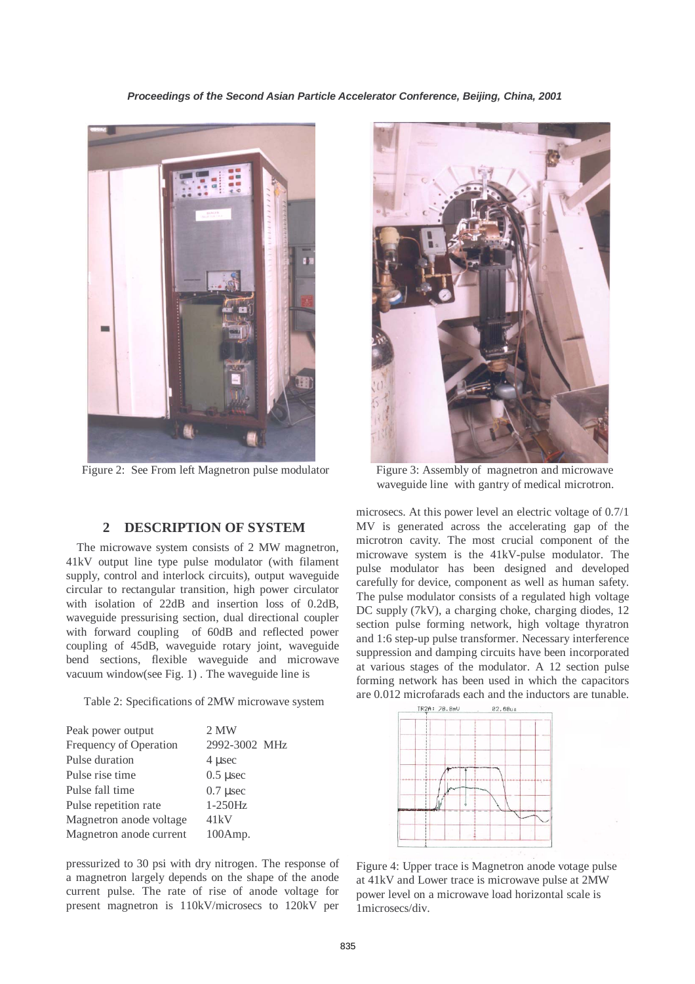

Figure 2: See From left Magnetron pulse modulator Figure 3: Assembly of magnetron and microwave

## **2 DESCRIPTION OF SYSTEM**

The microwave system consists of 2 MW magnetron, 41kV output line type pulse modulator (with filament supply, control and interlock circuits), output waveguide circular to rectangular transition, high power circulator with isolation of 22dB and insertion loss of 0.2dB, waveguide pressurising section, dual directional coupler with forward coupling of 60dB and reflected power coupling of 45dB, waveguide rotary joint, waveguide bend sections, flexible waveguide and microwave vacuum window(see Fig. 1) . The waveguide line is

Table 2: Specifications of 2MW microwave system

| Peak power output       | 2 MW          |
|-------------------------|---------------|
| Frequency of Operation  | 2992-3002 MHz |
| Pulse duration          | 4 usec        |
| Pulse rise time         | $0.5$ µsec    |
| Pulse fall time         | $0.7$ µsec    |
| Pulse repetition rate   | $1-250Hz$     |
| Magnetron anode voltage | 41kV          |
| Magnetron anode current | 100Amp.       |
|                         |               |

pressurized to 30 psi with dry nitrogen. The response of a magnetron largely depends on the shape of the anode current pulse. The rate of rise of anode voltage for present magnetron is 110kV/microsecs to 120kV per



waveguide line with gantry of medical microtron.

microsecs. At this power level an electric voltage of 0.7/1 MV is generated across the accelerating gap of the microtron cavity. The most crucial component of the microwave system is the 41kV-pulse modulator. The pulse modulator has been designed and developed carefully for device, component as well as human safety. The pulse modulator consists of a regulated high voltage DC supply (7kV), a charging choke, charging diodes, 12 section pulse forming network, high voltage thyratron and 1:6 step-up pulse transformer. Necessary interference suppression and damping circuits have been incorporated at various stages of the modulator. A 12 section pulse forming network has been used in which the capacitors are 0.012 microfarads each and the inductors are tunable.



Figure 4: Upper trace is Magnetron anode votage pulse at 41kV and Lower trace is microwave pulse at 2MW power level on a microwave load horizontal scale is 1microsecs/div.